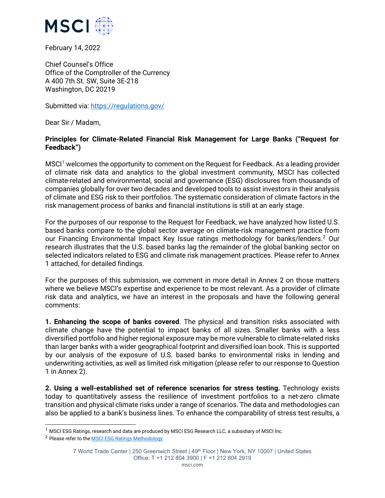

February 14, 2022

Chief Counsel's Office Office of the Comptroller of the Currency A 400 7th St. SW, Suite 3E-218 Washington, DC 20219

Submitted via:<https://regulations.gov/>

Dear Sir / Madam,

### **Principles for Climate-Related Financial Risk Management for Large Banks ("Request for Feedback")**

MSCI[1](#page-0-0) welcomes the opportunity to comment on the Request for Feedback. As a leading provider of climate risk data and analytics to the global investment community, MSCI has collected climate-related and environmental, social and governance (ESG) disclosures from thousands of companies globally for over two decades and developed tools to assist investors in their analysis of climate and ESG risk to their portfolios. The systematic consideration of climate factors in the risk management process of banks and financial institutions is still at an early stage.

For the purposes of our response to the Request for Feedback, we have analyzed how listed U.S. based banks compare to the global sector average on climate-risk management practice from our Financing Environmental Impact Key Issue ratings methodology for banks/lenders.<sup>[2](#page-0-1)</sup> Our research illustrates that the U.S. based banks lag the remainder of the global banking sector on selected indicators related to ESG and climate risk management practices. Please refer to Annex 1 attached, for detailed findings.

For the purposes of this submission, we comment in more detail in Annex 2 on those matters where we believe MSCI's expertise and experience to be most relevant. As a provider of climate risk data and analytics, we have an interest in the proposals and have the following general comments:

**1. Enhancing the scope of banks covered**. The physical and transition risks associated with climate change have the potential to impact banks of all sizes. Smaller banks with a less diversified portfolio and higher regional exposure may be more vulnerable to climate-related risks than larger banks with a wider geographical footprint and diversified loan book. This is supported by our analysis of the exposure of U.S. based banks to environmental risks in lending and underwriting activities, as well as limited risk mitigation (please refer to our response to Question 1 in Annex 2).

**2. Using a well-established set of reference scenarios for stress testing.** Technology exists today to quantitatively assess the resilience of investment portfolios to a net-zero climate transition and physical climate risks under a range of scenarios. The data and methodologies can also be applied to a bank's business lines. To enhance the comparability of stress test results, a

<span id="page-0-0"></span><sup>&</sup>lt;sup>1</sup> MSCI ESG Ratings, research and data are produced by MSCI ESG Research LLC, a subsidiary of MSCI Inc.

<span id="page-0-1"></span><sup>2</sup> Please refer to th[e MSCI ESG Ratings Methodology](https://www.msci.com/documents/1296102/4769829/MSCI+ESG+Ratings+Methodology+-+Exec+Summary+Dec+2020.pdf/15e36bed-bba2-1038-6fa0-2cf52a0c04d6?t=1608110671584)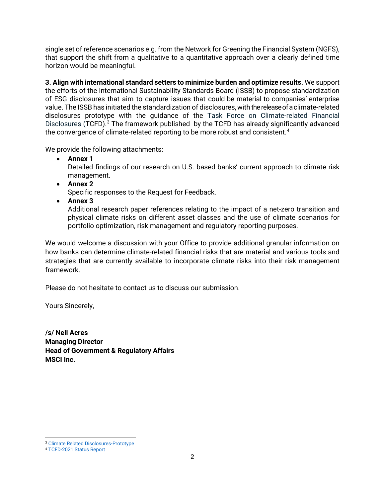single set of reference scenarios e.g. from the Network for Greening the Financial System (NGFS), that support the shift from a qualitative to a quantitative approach over a clearly defined time horizon would be meaningful.

**3. Align with international standard setters to minimize burden and optimize results.** We support the efforts of the International Sustainability Standards Board (ISSB) to propose standardization of ESG disclosures that aim to capture issues that could be material to companies' enterprise value. The ISSB has initiated the standardization of disclosures, with the release of a climate-related disclosures prototype with the guidance of the Task Force on Climate-related Financial Disclosures (TCFD).<sup>[3](#page-1-0)</sup> The framework published by the TCFD has already significantly advanced the convergence of climate-related reporting to be more robust and consistent.<sup>4</sup>

We provide the following attachments:

• **Annex 1**

Detailed findings of our research on U.S. based banks' current approach to climate risk management.

• **Annex 2**

Specific responses to the Request for Feedback.

• **Annex 3**

Additional research paper references relating to the impact of a net-zero transition and physical climate risks on different asset classes and the use of climate scenarios for portfolio optimization, risk management and regulatory reporting purposes.

We would welcome a discussion with your Office to provide additional granular information on how banks can determine climate-related financial risks that are material and various tools and strategies that are currently available to incorporate climate risks into their risk management framework.

Please do not hesitate to contact us to discuss our submission.

Yours Sincerely,

**/s/ Neil Acres Managing Director Head of Government & Regulatory Affairs MSCI Inc.**

<span id="page-1-0"></span><sup>3</sup> [Climate Related Disclosures-Prototype](https://www.ifrs.org/content/dam/ifrs/groups/trwg/trwg-climate-related-disclosures-prototype.pdf)

<span id="page-1-1"></span><sup>4</sup> [TCFD-2021 Status Report](https://assets.bbhub.io/company/sites/60/2021/07/2021-TCFD-Status_Report.pdf)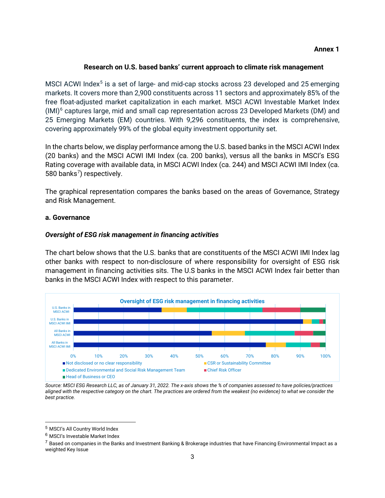## **Research on U.S. based banks' current approach to climate risk management**

MSCI ACWI Index<sup>[5](#page-2-0)</sup> is a set of large- and mid-cap stocks across 23 developed and 25 emerging markets. It covers more than 2,900 constituents across 11 sectors and approximately 85% of the free float-adjusted market capitalization in each market. MSCI ACWI Investable Market Index  $(MI)^6$  $(MI)^6$  captures large, mid and small cap representation across 23 Developed Markets (DM) and 25 Emerging Markets (EM) countries. With 9,296 constituents, the index is comprehensive, covering approximately 99% of the global equity investment opportunity set.

In the charts below, we display performance among the U.S. based banks in the MSCI ACWI Index (20 banks) and the MSCI ACWI IMI Index (ca. 200 banks), versus all the banks in MSCI's ESG Rating coverage with available data, in MSCI ACWI Index (ca. 244) and MSCI ACWI IMI Index (ca. 580 banks<sup>[7](#page-2-2)</sup>) respectively.

The graphical representation compares the banks based on the areas of Governance, Strategy and Risk Management.

#### **a. Governance**

### *Oversight of ESG risk management in financing activities*

The chart below shows that the U.S. banks that are constituents of the MSCI ACWI IMI Index lag other banks with respect to non-disclosure of where responsibility for oversight of ESG risk management in financing activities sits. The U.S banks in the MSCI ACWI Index fair better than banks in the MSCI ACWI Index with respect to this parameter.



*Source: MSCI ESG Research LLC, as of January 31, 2022. The x-axis shows the % of companies assessed to have policies/practices aligned with the respective category on the chart. The practices are ordered from the weakest (no evidence) to what we consider the best practice.*

<span id="page-2-0"></span><sup>5</sup> MSCI's All Country World Index

<span id="page-2-1"></span><sup>6</sup> MSCI's Investable Market Index

<span id="page-2-2"></span> $^7$  Based on companies in the Banks and Investment Banking & Brokerage industries that have Financing Environmental Impact as a weighted Key Issue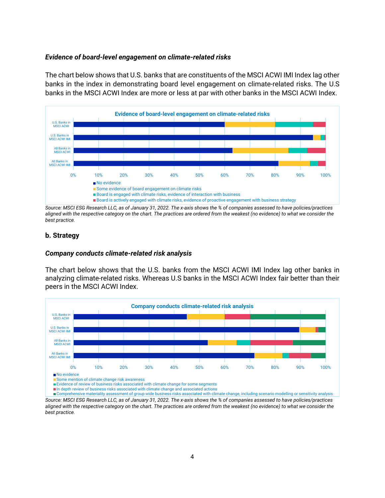#### *Evidence of board-level engagement on climate-related risks*

The chart below shows that U.S. banks that are constituents of the MSCI ACWI IMI Index lag other banks in the index in demonstrating board level engagement on climate-related risks. The U.S banks in the MSCI ACWI Index are more or less at par with other banks in the MSCI ACWI Index.



*Source: MSCI ESG Research LLC, as of January 31, 2022. The x-axis shows the % of companies assessed to have policies/practices aligned with the respective category on the chart. The practices are ordered from the weakest (no evidence) to what we consider the best practice.*

#### **b. Strategy**

#### *Company conducts climate-related risk analysis*

The chart below shows that the U.S. banks from the MSCI ACWI IMI Index lag other banks in analyzing climate-related risks. Whereas U.S banks in the MSCI ACWI Index fair better than their peers in the MSCI ACWI Index.



Comprehensive materiality assessment of group wide business risks associated with climate change, including scenario modelling or sensitivity analysis

*Source: MSCI ESG Research LLC, as of January 31, 2022. The x-axis shows the % of companies assessed to have policies/practices aligned with the respective category on the chart. The practices are ordered from the weakest (no evidence) to what we consider the best practice.*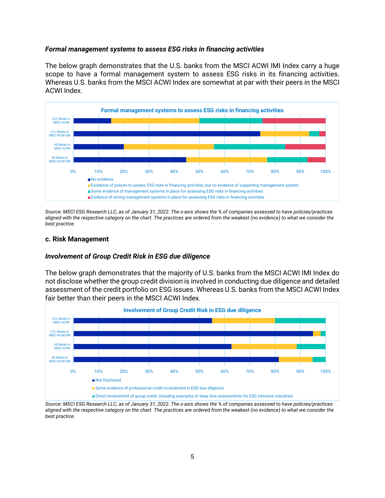#### *Formal management systems to assess ESG risks in financing activities*

The below graph demonstrates that the U.S. banks from the MSCI ACWI IMI Index carry a huge scope to have a formal management system to assess ESG risks in its financing activities. Whereas U.S. banks from the MSCI ACWI Index are somewhat at par with their peers in the MSCI ACWI Index.



*Source: MSCI ESG Research LLC, as of January 31, 2022. The x-axis shows the % of companies assessed to have policies/practices aligned with the respective category on the chart. The practices are ordered from the weakest (no evidence) to what we consider the best practice.*

#### **c. Risk Management**

#### *Involvement of Group Credit Risk in ESG due diligence*

The below graph demonstrates that the majority of U.S. banks from the MSCI ACWI IMI Index do not disclose whether the group credit division is involved in conducting due diligence and detailed assessment of the credit portfolio on ESG issues. Whereas U.S. banks from the MSCI ACWI Index fair better than their peers in the MSCI ACWI Index.



*Source: MSCI ESG Research LLC, as of January 31, 2022. The x-axis shows the % of companies assessed to have policies/practices aligned with the respective category on the chart. The practices are ordered from the weakest (no evidence) to what we consider the best practice.*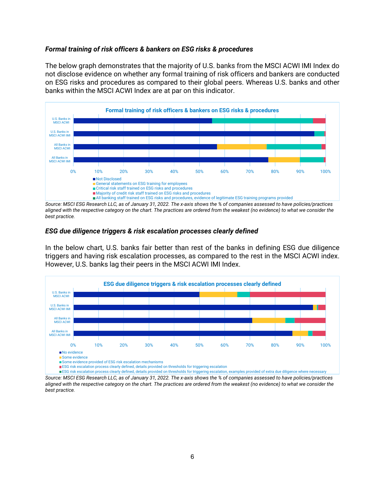#### *Formal training of risk officers & bankers on ESG risks & procedures*

The below graph demonstrates that the majority of U.S. banks from the MSCI ACWI IMI Index do not disclose evidence on whether any formal training of risk officers and bankers are conducted on ESG risks and procedures as compared to their global peers. Whereas U.S. banks and other banks within the MSCI ACWI Index are at par on this indicator.



*Source: MSCI ESG Research LLC, as of January 31, 2022. The x-axis shows the % of companies assessed to have policies/practices aligned with the respective category on the chart. The practices are ordered from the weakest (no evidence) to what we consider the best practice.*

#### *ESG due diligence triggers & risk escalation processes clearly defined*

In the below chart, U.S. banks fair better than rest of the banks in defining ESG due diligence triggers and having risk escalation processes, as compared to the rest in the MSCI ACWI index. However, U.S. banks lag their peers in the MSCI ACWI IMI Index.



*Source: MSCI ESG Research LLC, as of January 31, 2022. The x-axis shows the % of companies assessed to have policies/practices aligned with the respective category on the chart. The practices are ordered from the weakest (no evidence) to what we consider the best practice.*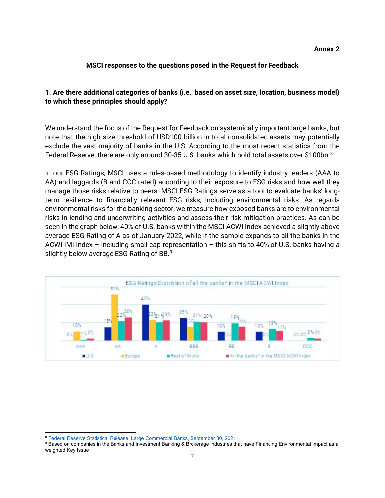#### **MSCI responses to the questions posed in the Request for Feedback**

## **1. Are there additional categories of banks (i.e., based on asset size, location, business model) to which these principles should apply?**

We understand the focus of the Request for Feedback on systemically important large banks, but note that the high size threshold of USD100 billion in total consolidated assets may potentially exclude the vast majority of banks in the U.S. According to the most recent statistics from the Federal Reserve, there are only around 30-35 U.S. banks which hold total assets over \$100bn.<sup>8</sup>

In our ESG Ratings, MSCI uses a rules-based methodology to identify industry leaders (AAA to AA) and laggards (B and CCC rated) according to their exposure to ESG risks and how well they manage those risks relative to peers. MSCI ESG Ratings serve as a tool to evaluate banks' longterm resilience to financially relevant ESG risks, including environmental risks. As regards environmental risks for the banking sector, we measure how exposed banks are to environmental risks in lending and underwriting activities and assess their risk mitigation practices. As can be seen in the graph below, 40% of U.S. banks within the MSCI ACWI Index achieved a slightly above average ESG Rating of A as of January 2022, while if the sample expands to all the banks in the ACWI IMI Index – including small cap representation – this shifts to 40% of U.S. banks having a slightly below average ESG Rating of BB.<sup>[9](#page-6-1)</sup>



<span id="page-6-0"></span><sup>8</sup> [Federal Reserve Statistical Release, Large Commercial Banks, September 30, 2021](https://www.federalreserve.gov/releases/lbr/current/default.htm)

<span id="page-6-1"></span><sup>9</sup> Based on companies in the Banks and Investment Banking & Brokerage industries that have Financing Environmental Impact as a weighted Key Issue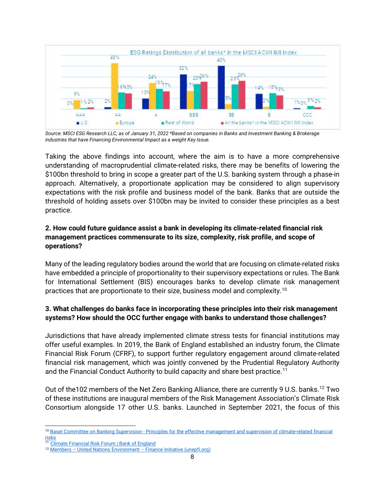

*Source: MSCI ESG Research LLC, as of January 31, 2022 \*Based on companies in Banks and Investment Banking & Brokerage industries that have Financing Environmental Impact as a weight Key Issue.*

Taking the above findings into account, where the aim is to have a more comprehensive understanding of macroprudential climate-related risks, there may be benefits of lowering the \$100bn threshold to bring in scope a greater part of the U.S. banking system through a phase-in approach. Alternatively, a proportionate application may be considered to align supervisory expectations with the risk profile and business model of the bank. Banks that are outside the threshold of holding assets over \$100bn may be invited to consider these principles as a best practice.

# **2. How could future guidance assist a bank in developing its climate-related financial risk management practices commensurate to its size, complexity, risk profile, and scope of operations?**

Many of the leading regulatory bodies around the world that are focusing on climate-related risks have embedded a principle of proportionality to their supervisory expectations or rules. The Bank for International Settlement (BIS) encourages banks to develop climate risk management practices that are proportionate to their size, business model and complexity[.10](#page-7-0)

# **3. What challenges do banks face in incorporating these principles into their risk management systems? How should the OCC further engage with banks to understand those challenges?**

Jurisdictions that have already implemented climate stress tests for financial institutions may offer useful examples. In 2019, the Bank of England established an industry forum, the Climate Financial Risk Forum (CFRF), to support further regulatory engagement around climate-related financial risk management, which was jointly convened by the Prudential Regulatory Authority and the Financial Conduct Authority to build capacity and share best practice.<sup>[11](#page-7-1)</sup>

Out of the102 members of the Net Zero Banking Alliance, there are currently 9 U.S. banks.[12](#page-7-2) Two of these institutions are inaugural members of the Risk Management Association's Climate Risk Consortium alongside 17 other U.S. banks. Launched in September 2021, the focus of this

<span id="page-7-0"></span><sup>10</sup> Basel Committee on Banking Supervision - [Principles for the effective management and supervision of climate-related financial](https://www.bis.org/bcbs/publ/d530.pdf)  <u>[risks](https://www.bis.org/bcbs/publ/d530.pdf)</u>

<span id="page-7-1"></span><sup>&</sup>lt;sup>11</sup> [Climate Financial Risk Forum | Bank of England](https://www.bankofengland.co.uk/climate-change/climate-financial-risk-forum)

<span id="page-7-2"></span><sup>12</sup> Members – [United Nations Environment –](https://www.unepfi.org/net-zero-banking/members/) Finance Initiative (unepfi.org)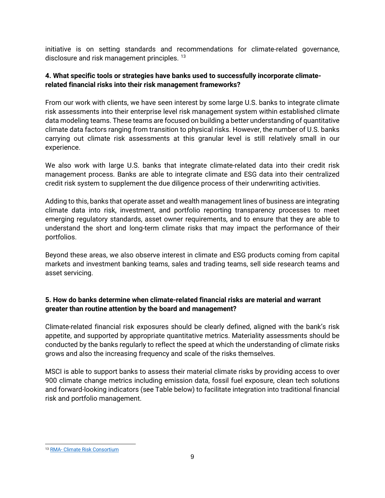initiative is on setting standards and recommendations for climate-related governance, disclosure and risk management principles. [13](#page-8-0)

## **4. What specific tools or strategies have banks used to successfully incorporate climaterelated financial risks into their risk management frameworks?**

From our work with clients, we have seen interest by some large U.S. banks to integrate climate risk assessments into their enterprise level risk management system within established climate data modeling teams. These teams are focused on building a better understanding of quantitative climate data factors ranging from transition to physical risks. However, the number of U.S. banks carrying out climate risk assessments at this granular level is still relatively small in our experience.

We also work with large U.S. banks that integrate climate-related data into their credit risk management process. Banks are able to integrate climate and ESG data into their centralized credit risk system to supplement the due diligence process of their underwriting activities.

Adding to this, banks that operate asset and wealth management lines of business are integrating climate data into risk, investment, and portfolio reporting transparency processes to meet emerging regulatory standards, asset owner requirements, and to ensure that they are able to understand the short and long-term climate risks that may impact the performance of their portfolios.

Beyond these areas, we also observe interest in climate and ESG products coming from capital markets and investment banking teams, sales and trading teams, sell side research teams and asset servicing.

# **5. How do banks determine when climate-related financial risks are material and warrant greater than routine attention by the board and management?**

Climate-related financial risk exposures should be clearly defined, aligned with the bank's risk appetite, and supported by appropriate quantitative metrics. Materiality assessments should be conducted by the banks regularly to reflect the speed at which the understanding of climate risks grows and also the increasing frequency and scale of the risks themselves.

MSCI is able to support banks to assess their material climate risks by providing access to over 900 climate change metrics including emission data, fossil fuel exposure, clean tech solutions and forward-looking indicators (see Table below) to facilitate integration into traditional financial risk and portfolio management.

<span id="page-8-0"></span><sup>13</sup> RMA- [Climate Risk Consortium](https://www.rmahq.org/climate-risk-consortium?gmssopc=1)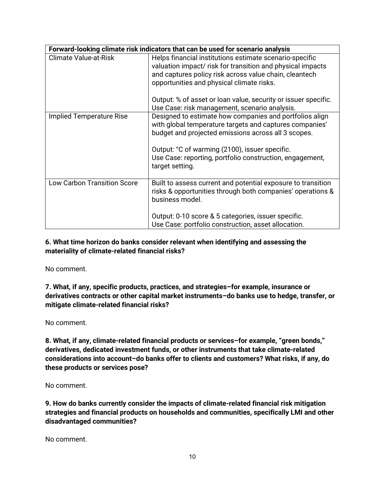| Forward-looking climate risk indicators that can be used for scenario analysis |                                                                                                                                                                                                                                                                                                                                                 |  |  |
|--------------------------------------------------------------------------------|-------------------------------------------------------------------------------------------------------------------------------------------------------------------------------------------------------------------------------------------------------------------------------------------------------------------------------------------------|--|--|
| <b>Climate Value-at-Risk</b>                                                   | Helps financial institutions estimate scenario-specific<br>valuation impact/ risk for transition and physical impacts<br>and captures policy risk across value chain, cleantech<br>opportunities and physical climate risks.<br>Output: % of asset or loan value, security or issuer specific.<br>Use Case: risk management, scenario analysis. |  |  |
| Implied Temperature Rise                                                       | Designed to estimate how companies and portfolios align<br>with global temperature targets and captures companies'<br>budget and projected emissions across all 3 scopes.<br>Output: °C of warming (2100), issuer specific.<br>Use Case: reporting, portfolio construction, engagement,<br>target setting.                                      |  |  |
| <b>Low Carbon Transition Score</b>                                             | Built to assess current and potential exposure to transition<br>risks & opportunities through both companies' operations &<br>business model.<br>Output: 0-10 score & 5 categories, issuer specific.<br>Use Case: portfolio construction, asset allocation.                                                                                     |  |  |

## **6. What time horizon do banks consider relevant when identifying and assessing the materiality of climate-related financial risks?**

No comment.

**7. What, if any, specific products, practices, and strategies–for example, insurance or derivatives contracts or other capital market instruments–do banks use to hedge, transfer, or mitigate climate-related financial risks?** 

No comment.

**8. What, if any, climate-related financial products or services–for example, "green bonds," derivatives, dedicated investment funds, or other instruments that take climate-related considerations into account–do banks offer to clients and customers? What risks, if any, do these products or services pose?** 

No comment.

**9. How do banks currently consider the impacts of climate-related financial risk mitigation strategies and financial products on households and communities, specifically LMI and other disadvantaged communities?** 

No comment.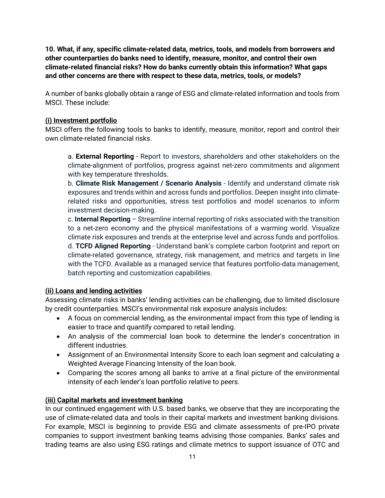**10. What, if any, specific climate-related data, metrics, tools, and models from borrowers and other counterparties do banks need to identify, measure, monitor, and control their own climate-related financial risks? How do banks currently obtain this information? What gaps and other concerns are there with respect to these data, metrics, tools, or models?** 

A number of banks globally obtain a range of ESG and climate-related information and tools from MSCI. These include:

## **(i) Investment portfolio**

MSCI offers the following tools to banks to identify, measure, monitor, report and control their own climate-related financial risks.

a. **External Reporting** - Report to investors, shareholders and other stakeholders on the climate-alignment of portfolios, progress against net-zero commitments and alignment with key temperature thresholds.

b. **Climate Risk Management / Scenario Analysis** - Identify and understand climate risk exposures and trends within and across funds and portfolios. Deepen insight into climaterelated risks and opportunities, stress test portfolios and model scenarios to inform investment decision-making.

c. **Internal Reporting** – Streamline internal reporting of risks associated with the transition to a net-zero economy and the physical manifestations of a warming world. Visualize climate risk exposures and trends at the enterprise level and across funds and portfolios. d. **TCFD Aligned Reporting** - Understand bank's complete carbon footprint and report on climate-related governance, strategy, risk management, and metrics and targets in line with the TCFD. Available as a managed service that features portfolio-data management, batch reporting and customization capabilities.

### **(ii) Loans and lending activities**

Assessing climate risks in banks' lending activities can be challenging, due to limited disclosure by credit counterparties. MSCI's environmental risk exposure analysis includes:

- A focus on commercial lending, as the environmental impact from this type of lending is easier to trace and quantify compared to retail lending.
- An analysis of the commercial loan book to determine the lender's concentration in different industries.
- Assignment of an Environmental Intensity Score to each loan segment and calculating a Weighted Average Financing Intensity of the loan book.
- Comparing the scores among all banks to arrive at a final picture of the environmental intensity of each lender's loan portfolio relative to peers.

### **(iii) Capital markets and investment banking**

In our continued engagement with U.S. based banks, we observe that they are incorporating the use of climate-related data and tools in their capital markets and investment banking divisions. For example, MSCI is beginning to provide ESG and climate assessments of pre-IPO private companies to support investment banking teams advising those companies. Banks' sales and trading teams are also using ESG ratings and climate metrics to support issuance of OTC and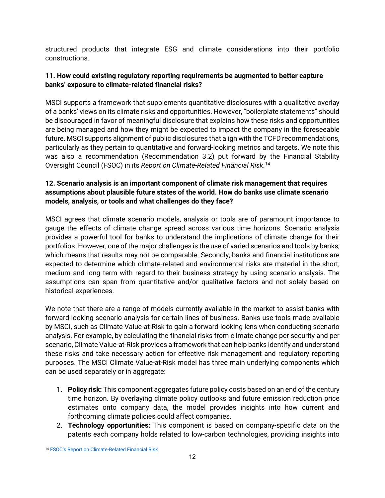structured products that integrate ESG and climate considerations into their portfolio constructions.

# **11. How could existing regulatory reporting requirements be augmented to better capture banks' exposure to climate-related financial risks?**

MSCI supports a framework that supplements quantitative disclosures with a qualitative overlay of a banks' views on its climate risks and opportunities. However, "boilerplate statements" should be discouraged in favor of meaningful disclosure that explains how these risks and opportunities are being managed and how they might be expected to impact the company in the foreseeable future. MSCI supports alignment of public disclosures that align with the TCFD recommendations, particularly as they pertain to quantitative and forward-looking metrics and targets. We note this was also a recommendation (Recommendation 3.2) put forward by the Financial Stability Oversight Council (FSOC) in its *Report on Climate-Related Financial Risk*. [14](#page-11-0)

# **12. Scenario analysis is an important component of climate risk management that requires assumptions about plausible future states of the world. How do banks use climate scenario models, analysis, or tools and what challenges do they face?**

MSCI agrees that climate scenario models, analysis or tools are of paramount importance to gauge the effects of climate change spread across various time horizons. Scenario analysis provides a powerful tool for banks to understand the implications of climate change for their portfolios. However, one of the major challenges is the use of varied scenarios and tools by banks, which means that results may not be comparable. Secondly, banks and financial institutions are expected to determine which climate-related and environmental risks are material in the short, medium and long term with regard to their business strategy by using scenario analysis. The assumptions can span from quantitative and/or qualitative factors and not solely based on historical experiences.

We note that there are a range of models currently available in the market to assist banks with forward-looking scenario analysis for certain lines of business. Banks use tools made available by MSCI, such as Climate Value-at-Risk to gain a forward-looking lens when conducting scenario analysis. For example, by calculating the financial risks from climate change per security and per scenario, Climate Value-at-Risk provides a framework that can help banks identify and understand these risks and take necessary action for effective risk management and regulatory reporting purposes. The MSCI Climate Value-at-Risk model has three main underlying components which can be used separately or in aggregate:

- 1. **Policy risk:** This component aggregates future policy costs based on an end of the century time horizon. By overlaying climate policy outlooks and future emission reduction price estimates onto company data, the model provides insights into how current and forthcoming climate policies could affect companies.
- 2. **Technology opportunities:** This component is based on company-specific data on the patents each company holds related to low-carbon technologies, providing insights into

<span id="page-11-0"></span><sup>14</sup> [FSOC's Report on Climate-Related Financial Risk](https://home.treasury.gov/system/files/261/FSOC-Climate-Report.pdf)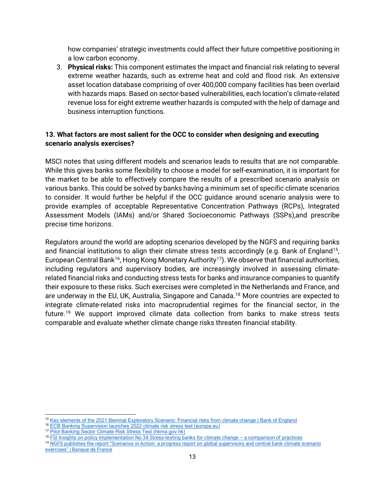how companies' strategic investments could affect their future competitive positioning in a low carbon economy.

3. **Physical risks:** This component estimates the impact and financial risk relating to several extreme weather hazards, such as extreme heat and cold and flood risk. An extensive asset location database comprising of over 400,000 company facilities has been overlaid with hazards maps. Based on sector-based vulnerabilities, each location's climate-related revenue loss for eight extreme weather hazards is computed with the help of damage and business interruption functions.

## **13. What factors are most salient for the OCC to consider when designing and executing scenario analysis exercises?**

MSCI notes that using different models and scenarios leads to results that are not comparable. While this gives banks some flexibility to choose a model for self-examination, it is important for the market to be able to effectively compare the results of a prescribed scenario analysis on various banks. This could be solved by banks having a minimum set of specific climate scenarios to consider. It would further be helpful if the OCC guidance around scenario analysis were to provide examples of acceptable Representative Concentration Pathways (RCPs), Integrated Assessment Models (IAMs) and/or Shared Socioeconomic Pathways (SSPs),and prescribe precise time horizons.

Regulators around the world are adopting scenarios developed by the NGFS and requiring banks and financial institutions to align their climate stress tests accordingly (e.g. Bank of England<sup>15</sup>, European Central Bank<sup>16</sup>, Hong Kong Monetary Authority<sup>17</sup>). We observe that financial authorities, including regulators and supervisory bodies, are increasingly involved in assessing climaterelated financial risks and conducting stress tests for banks and insurance companies to quantify their exposure to these risks. Such exercises were completed in the Netherlands and France, and are underway in the EU, UK, Australia, Singapore and Canada.<sup>[18](#page-12-3)</sup> More countries are expected to integrate climate-related risks into macroprudential regimes for the financial sector, in the future.[19](#page-12-4) We support improved climate data collection from banks to make stress tests comparable and evaluate whether climate change risks threaten financial stability.

<span id="page-12-0"></span><sup>&</sup>lt;sup>15</sup> [Key elements of the 2021 Biennial Exploratory Scenario: Financial risks from climate change | Bank of England](https://www.bankofengland.co.uk/stress-testing/2021/key-elements-2021-biennial-exploratory-scenario-financial-risks-climate-change)

<span id="page-12-1"></span><sup>&</sup>lt;sup>16</sup> [ECB Banking Supervision launches 2022 climate risk stress test \(europa.eu\)](https://www.bankingsupervision.europa.eu/press/pr/date/2022/html/ssm.pr220127%7Ebd20df4d3a.en.html)

<span id="page-12-2"></span><sup>17</sup> [Pilot Banking Sector Climate Risk Stress Test \(hkma.gov.hk\)](https://www.hkma.gov.hk/media/eng/doc/key-functions/banking-stability/Pilot_banking_sector_climate_risk_stress_test.pdf)

<span id="page-12-3"></span><sup>18</sup> [FSI Insights on policy implementation No 34 Stress-testing banks for climate change –](https://www.bis.org/fsi/publ/insights34.pdf) a comparison of practices

<span id="page-12-4"></span><sup>19</sup> NGFS publishes the report "Scenarios [in Action: a progress report on global supervisory and central bank climate scenario](https://www.ngfs.net/en/communique-de-presse/ngfs-publishes-report-scenarios-action-progress-report-global-supervisory-and-central-bank-climate)  [exercises" | Banque de France](https://www.ngfs.net/en/communique-de-presse/ngfs-publishes-report-scenarios-action-progress-report-global-supervisory-and-central-bank-climate)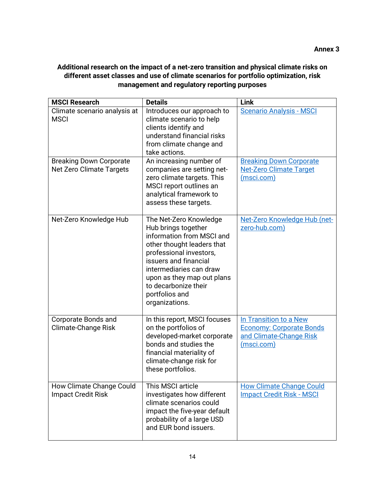# **Additional research on the impact of a net-zero transition and physical climate risks on different asset classes and use of climate scenarios for portfolio optimization, risk management and regulatory reporting purposes**

| <b>MSCI Research</b>                                       | <b>Details</b>                                                                                                                                                                                                                                                                    | <b>Link</b>                                                                                        |
|------------------------------------------------------------|-----------------------------------------------------------------------------------------------------------------------------------------------------------------------------------------------------------------------------------------------------------------------------------|----------------------------------------------------------------------------------------------------|
| Climate scenario analysis at<br><b>MSCI</b>                | Introduces our approach to<br>climate scenario to help<br>clients identify and<br>understand financial risks<br>from climate change and<br>take actions.                                                                                                                          | <b>Scenario Analysis - MSCI</b>                                                                    |
| <b>Breaking Down Corporate</b><br>Net Zero Climate Targets | An increasing number of<br>companies are setting net-<br>zero climate targets. This<br>MSCI report outlines an<br>analytical framework to<br>assess these targets.                                                                                                                | <b>Breaking Down Corporate</b><br>Net-Zero Climate Target<br>(msci.com)                            |
| Net-Zero Knowledge Hub                                     | The Net-Zero Knowledge<br>Hub brings together<br>information from MSCI and<br>other thought leaders that<br>professional investors,<br>issuers and financial<br>intermediaries can draw<br>upon as they map out plans<br>to decarbonize their<br>portfolios and<br>organizations. | <u>Net-Zero Knowledge Hub (net-</u><br>zero-hub.com)                                               |
| Corporate Bonds and<br><b>Climate-Change Risk</b>          | In this report, MSCI focuses<br>on the portfolios of<br>developed-market corporate<br>bonds and studies the<br>financial materiality of<br>climate-change risk for<br>these portfolios.                                                                                           | In Transition to a New<br><b>Economy: Corporate Bonds</b><br>and Climate-Change Risk<br>(msci.com) |
| How Climate Change Could<br><b>Impact Credit Risk</b>      | This MSCI article<br>investigates how different<br>climate scenarios could<br>impact the five-year default<br>probability of a large USD<br>and EUR bond issuers.                                                                                                                 | <b>How Climate Change Could</b><br><b>Impact Credit Risk - MSCI</b>                                |